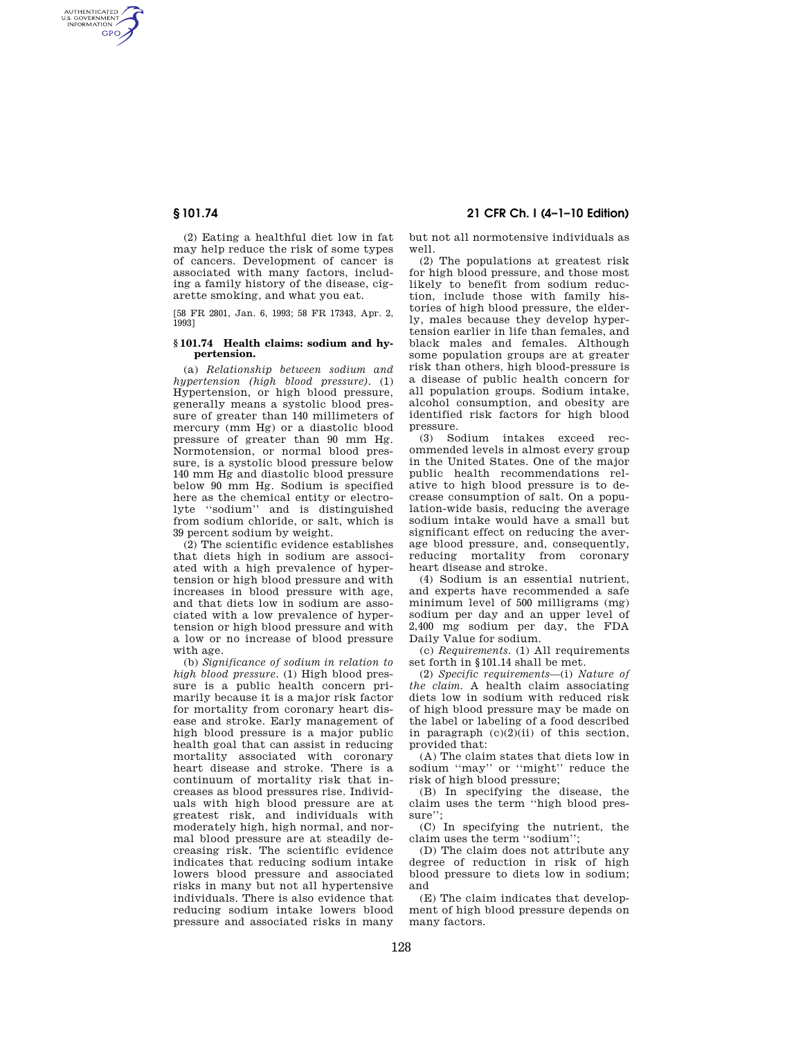AUTHENTICATED<br>U.S. GOVERNMENT<br>INFORMATION **GPO** 

> (2) Eating a healthful diet low in fat may help reduce the risk of some types of cancers. Development of cancer is associated with many factors, including a family history of the disease, cigarette smoking, and what you eat.

[58 FR 2801, Jan. 6, 1993; 58 FR 17343, Apr. 2, 1993]

## **§ 101.74 Health claims: sodium and hypertension.**

(a) *Relationship between sodium and hypertension (high blood pressure).* (1) Hypertension, or high blood pressure, generally means a systolic blood pressure of greater than 140 millimeters of mercury (mm Hg) or a diastolic blood pressure of greater than 90 mm Hg. Normotension, or normal blood pressure, is a systolic blood pressure below 140 mm Hg and diastolic blood pressure below 90 mm Hg. Sodium is specified here as the chemical entity or electrolyte ''sodium'' and is distinguished from sodium chloride, or salt, which is 39 percent sodium by weight.

(2) The scientific evidence establishes that diets high in sodium are associated with a high prevalence of hypertension or high blood pressure and with increases in blood pressure with age, and that diets low in sodium are associated with a low prevalence of hypertension or high blood pressure and with a low or no increase of blood pressure with age.

(b) *Significance of sodium in relation to high blood pressure.* (1) High blood pressure is a public health concern primarily because it is a major risk factor for mortality from coronary heart disease and stroke. Early management of high blood pressure is a major public health goal that can assist in reducing mortality associated with coronary heart disease and stroke. There is a continuum of mortality risk that increases as blood pressures rise. Individuals with high blood pressure are at greatest risk, and individuals with moderately high, high normal, and normal blood pressure are at steadily decreasing risk. The scientific evidence indicates that reducing sodium intake lowers blood pressure and associated risks in many but not all hypertensive individuals. There is also evidence that reducing sodium intake lowers blood pressure and associated risks in many

# **§ 101.74 21 CFR Ch. I (4–1–10 Edition)**

but not all normotensive individuals as well.

(2) The populations at greatest risk for high blood pressure, and those most likely to benefit from sodium reduction, include those with family histories of high blood pressure, the elderly, males because they develop hypertension earlier in life than females, and black males and females. Although some population groups are at greater risk than others, high blood-pressure is a disease of public health concern for all population groups. Sodium intake, alcohol consumption, and obesity are identified risk factors for high blood pressure.

(3) Sodium intakes exceed recommended levels in almost every group in the United States. One of the major public health recommendations relative to high blood pressure is to decrease consumption of salt. On a population-wide basis, reducing the average sodium intake would have a small but significant effect on reducing the average blood pressure, and, consequently, reducing mortality from coronary heart disease and stroke.

(4) Sodium is an essential nutrient, and experts have recommended a safe minimum level of 500 milligrams (mg) sodium per day and an upper level of 2,400 mg sodium per day, the FDA Daily Value for sodium.

(c) *Requirements.* (1) All requirements set forth in §101.14 shall be met.

(2) *Specific requirements*—(i) *Nature of the claim.* A health claim associating diets low in sodium with reduced risk of high blood pressure may be made on the label or labeling of a food described in paragraph  $(c)(2)(ii)$  of this section, provided that:

(A) The claim states that diets low in sodium ''may'' or ''might'' reduce the risk of high blood pressure;

(B) In specifying the disease, the claim uses the term ''high blood pressure'';

(C) In specifying the nutrient, the claim uses the term ''sodium'';

(D) The claim does not attribute any degree of reduction in risk of high blood pressure to diets low in sodium; and

(E) The claim indicates that development of high blood pressure depends on many factors.